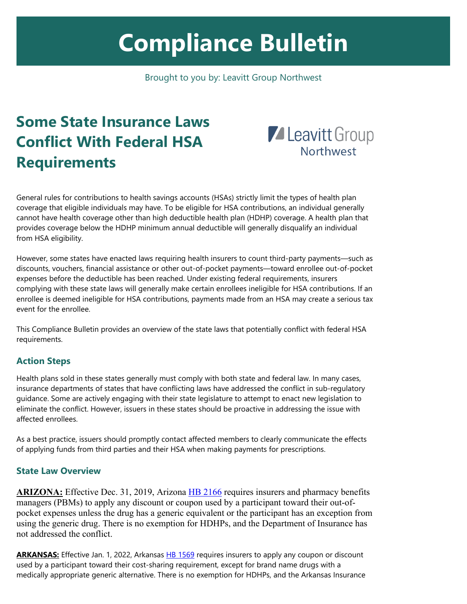# **Compliance Bulletin**

Brought to you by: Leavitt Group Northwest

# **Some State Insurance Laws Conflict With Federal HSA Requirements**



General rules for contributions to health savings accounts (HSAs) strictly limit the types of health plan coverage that eligible individuals may have. To be eligible for HSA contributions, an individual generally cannot have health coverage other than high deductible health plan (HDHP) coverage. A health plan that provides coverage below the HDHP minimum annual deductible will generally disqualify an individual from HSA eligibility.

However, some states have enacted laws requiring health insurers to count third-party payments—such as discounts, vouchers, financial assistance or other out-of-pocket payments—toward enrollee out-of-pocket expenses before the deductible has been reached. Under existing federal requirements, insurers complying with these state laws will generally make certain enrollees ineligible for HSA contributions. If an enrollee is deemed ineligible for HSA contributions, payments made from an HSA may create a serious tax event for the enrollee.

This Compliance Bulletin provides an overview of the state laws that potentially conflict with federal HSA requirements.

## **Action Steps**

Health plans sold in these states generally must comply with both state and federal law. In many cases, insurance departments of states that have conflicting laws have addressed the conflict in sub-regulatory guidance. Some are actively engaging with their state legislature to attempt to enact new legislation to eliminate the conflict. However, issuers in these states should be proactive in addressing the issue with affected enrollees.

As a best practice, issuers should promptly contact affected members to clearly communicate the effects of applying funds from third parties and their HSA when making payments for prescriptions.

#### **State Law Overview**

**ARIZONA:** Effective Dec. 31, 2019, Arizona [HB 2166](https://www.azleg.gov/legtext/54leg/1r/bills/hb2166s.pdf) requires insurers and pharmacy benefits managers (PBMs) to apply any discount or coupon used by a participant toward their out-ofpocket expenses unless the drug has a generic equivalent or the participant has an exception from using the generic drug. There is no exemption for HDHPs, and the Department of Insurance has not addressed the conflict.

**ARKANSAS:** Effective Jan. 1, 2022, Arkansas [HB 1569](https://www.arkleg.state.ar.us/Bills/FTPDocument?path=%2FBills%2F2021R%2FPublic%2FHB1569.pdf) requires insurers to apply any coupon or discount used by a participant toward their cost-sharing requirement, except for brand name drugs with a medically appropriate generic alternative. There is no exemption for HDHPs, and the Arkansas Insurance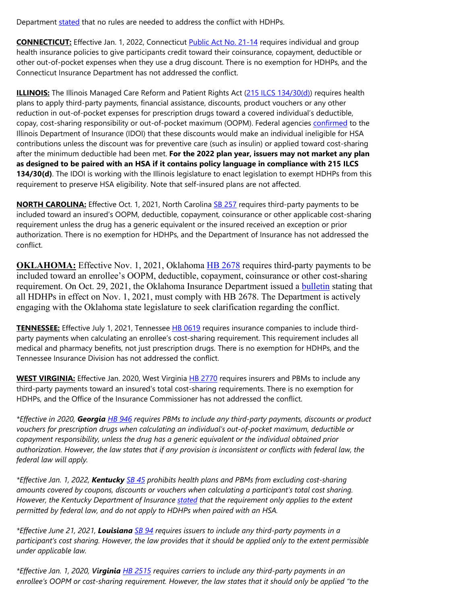Department [stated](https://www.insurance.arkansas.gov/uploads/pages/act_595_report.pdf) that no rules are needed to address the conflict with HDHPs.

**CONNECTICUT:** Effective Jan. 1, 2022, Connecticut [Public Act No. 21-14](https://www.cga.ct.gov/2021/act/pa/pdf/2021PA-00014-R00SB-01003-PA.pdf) requires individual and group health insurance policies to give participants credit toward their coinsurance, copayment, deductible or other out-of-pocket expenses when they use a drug discount. There is no exemption for HDHPs, and the Connecticut Insurance Department has not addressed the conflict.

**ILLINOIS:** The Illinois Managed Care Reform and Patient Rights Act [\(215 ILCS 134/30\(d\)\)](https://www.ilga.gov/legislation/ilcs/documents/021501340K30.htm) requires health plans to apply third-party payments, financial assistance, discounts, product vouchers or any other reduction in out-of-pocket expenses for prescription drugs toward a covered individual's deductible, copay, cost-sharing responsibility or out-of-pocket maximum (OOPM). Federal agencies [confirmed](https://www2.illinois.gov/sites/Insurance/Companies/CompanyBulletins/CB2021-11.pdf) to the Illinois Department of Insurance (IDOI) that these discounts would make an individual ineligible for HSA contributions unless the discount was for preventive care (such as insulin) or applied toward cost-sharing after the minimum deductible had been met. **For the 2022 plan year, issuers may not market any plan as designed to be paired with an HSA if it contains policy language in compliance with 215 ILCS 134/30(d)**. The IDOI is working with the Illinois legislature to enact legislation to exempt HDHPs from this requirement to preserve HSA eligibility. Note that self-insured plans are not affected.

**NORTH CAROLINA:** Effective Oct. 1, 2021, North Carolina [SB 257](https://www.ncleg.gov/Sessions/2021/Bills/Senate/PDF/S257v7.pdf) requires third-party payments to be included toward an insured's OOPM, deductible, copayment, coinsurance or other applicable cost-sharing requirement unless the drug has a generic equivalent or the insured received an exception or prior authorization. There is no exemption for HDHPs, and the Department of Insurance has not addressed the conflict.

**OKLAHOMA:** Effective Nov. 1, 2021, Oklahoma [HB 2678](http://webserver1.lsb.state.ok.us/cf_pdf/2021-22%20ENR/hB/HB2678%20ENR.PDF) requires third-party payments to be included toward an enrollee's OOPM, deductible, copayment, coinsurance or other cost-sharing requirement. On Oct. 29, 2021, the Oklahoma Insurance Department issued a [bulletin](https://www.oid.ok.gov/wp-content/uploads/2021/11/21-0561-PRJ-HB-2678-FINAL_2-10-28-21.pdf) stating that all HDHPs in effect on Nov. 1, 2021, must comply with HB 2678. The Department is actively engaging with the Oklahoma state legislature to seek clarification regarding the conflict.

**TENNESSEE:** Effective July 1, 2021, Tennessee [HB 0619](https://www.capitol.tn.gov/Bills/112/Bill/HB0619.pdf) requires insurance companies to include thirdparty payments when calculating an enrollee's cost-sharing requirement. This requirement includes all medical and pharmacy benefits, not just prescription drugs. There is no exemption for HDHPs, and the Tennessee Insurance Division has not addressed the conflict.

**WEST VIRGINIA:** Effective Jan. 2020, West Virginia [HB 2770](https://www.wvlegislature.gov/Bill_Status/bills_text.cfm?billdoc=HB2770%20SUB%20ENR.htm&yr=2019&sesstype=RS&billtype=B&houseorig=H&i=2770) requires insurers and PBMs to include any third-party payments toward an insured's total cost-sharing requirements. There is no exemption for HDHPs, and the Office of the Insurance Commissioner has not addressed the conflict.

*\*Effective in 2020, Georgia [HB 946](https://gov.georgia.gov/document/2020-signed-legislation/hb-946/download) requires PBMs to include any third-party payments, discounts or product vouchers for prescription drugs when calculating an individual's out-of-pocket maximum, deductible or copayment responsibility, unless the drug has a generic equivalent or the individual obtained prior authorization. However, the law states that if any provision is inconsistent or conflicts with federal law, the federal law will apply.*

*\*Effective Jan. 1, 2022, Kentucky [SB 45](https://apps.legislature.ky.gov/recorddocuments/bill/21RS/sb45/bill.pdf) prohibits health plans and PBMs from excluding cost-sharing amounts covered by coupons, discounts or vouchers when calculating a participant's total cost sharing. However, the Kentucky Department of Insurance [stated](https://insurance.ky.gov/ppc/Documents/2021-002%20New%20Legislation%20Bulletin.pdf) that the requirement only applies to the extent permitted by federal law, and do not apply to HDHPs when paired with an HSA.*

*\*Effective June 21, 2021, Louisiana [SB 94](https://legiscan.com/LA/text/SB94/id/2418899/Louisiana-2021-SB94-Chaptered.pdf) requires issuers to include any third-party payments in a participant's cost sharing. However, the law provides that it should be applied only to the extent permissible under applicable law.*

*\*Effective Jan. 1, 2020, Virginia [HB 2515](https://lis.virginia.gov/cgi-bin/legp604.exe?191+ful+HB2515ER+pdf) requires carriers to include any third-party payments in an enrollee's OOPM or cost-sharing requirement. However, the law states that it should only be applied "to the*